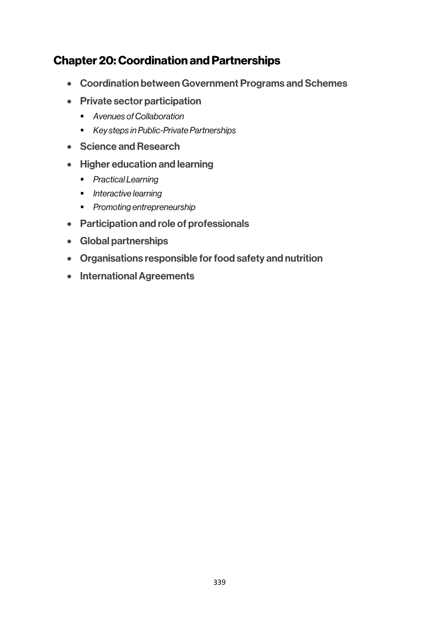# Chapter 20: Coordination and Partnerships

- Coordination between Government Programs and Schemes
- Private sector participation
	- § *Avenues of Collaboration*
	- § *Key steps in Public-Private Partnerships*
- Science and Research
- Higher education and learning
	- § *Practical Learning*
	- § *Interactive learning*
	- § *Promoting entrepreneurship*
- Participation and role of professionals
- Global partnerships
- Organisations responsible for food safety and nutrition
- International Agreements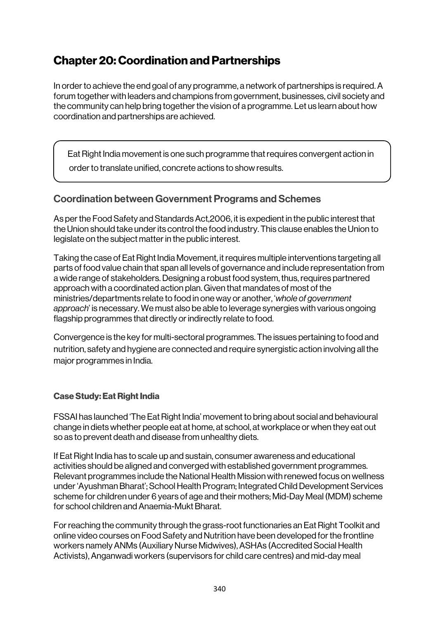# Chapter 20: Coordination and Partnerships

In order to achieve the end goal of any programme, a network of partnerships is required. A forum together with leaders and champions from government, businesses, civil society and the community can help bring together the vision of a programme. Let us learn about how coordination and partnerships are achieved.

Eat Right India movement is one such programme that requires convergent action in

order to translate unified, concrete actions to show results.

# Coordination between Government Programs and Schemes

As per the Food Safety and Standards Act,2006, it is expedient in the public interest that the Union should take under its control the food industry. This clause enables the Union to legislate on the subject matter in the public interest.

Taking the case of Eat Right India Movement, it requires multiple interventions targeting all parts of food value chain that span all levels of governance and include representation from a wide range of stakeholders. Designing a robust food system, thus, requires partnered approach with a coordinated action plan. Given that mandates of most of the ministries/departments relate to food in one way or another, '*whole of government approach*' is necessary. We must also be able to leverage synergies with various ongoing flagship programmes that directly or indirectly relate to food.

Convergence is the key for multi-sectoral programmes. The issues pertaining to food and nutrition, safety and hygiene are connected and require synergistic action involving all the major programmes in India.

# Case Study: Eat Right India

FSSAI has launched 'The Eat Right India' movement to bring about social and behavioural change in diets whether people eat at home, at school, at workplace or when they eat out so as to prevent death and disease from unhealthy diets.

If Eat Right India has to scale up and sustain, consumer awareness and educational activities should be aligned and converged with established government programmes. Relevant programmes include the National Health Mission with renewed focus on wellness under 'Ayushman Bharat'; School Health Program; Integrated Child Development Services scheme for children under 6 years of age and their mothers; Mid-Day Meal (MDM) scheme for school children and Anaemia-Mukt Bharat.

For reaching the community through the grass-root functionaries an Eat Right Toolkit and online video courses on Food Safety and Nutrition have been developed for the frontline workers namely ANMs (Auxiliary Nurse Midwives), ASHAs (Accredited Social Health Activists), Anganwadi workers (supervisors for child care centres) and mid-day meal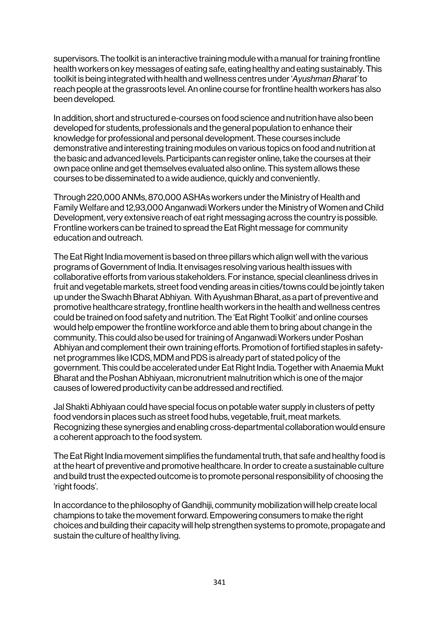supervisors. The toolkit is an interactive training module with a manual for training frontline health workers on key messages of eating safe, eating healthy and eating sustainably. This toolkit is being integrated with health and wellness centres under '*Ayushman Bharat'* to reach people at the grassroots level. An online course for frontline health workers has also been developed.

In addition, short and structured e-courses on food science and nutrition have also been developed for students, professionals and the general population to enhance their knowledge for professional and personal development. These courses include demonstrative and interesting training modules on various topics on food and nutrition at the basic and advanced levels. Participants can register online, take the courses at their own pace online and get themselves evaluated also online. This system allows these courses to be disseminated to a wide audience, quickly and conveniently.

Through 220,000 ANMs, 870,000 ASHAs workers under the Ministry of Health and Family Welfare and 12,93,000 Anganwadi Workers under the Ministry of Women and Child Development, very extensive reach of eat right messaging across the country is possible. Frontline workers can be trained to spread the Eat Right message for community education and outreach.

The Eat Right India movement is based on three pillars which align well with the various programs of Government of India. It envisages resolving various health issues with collaborative efforts from various stakeholders. For instance, special cleanliness drives in fruit and vegetable markets, street food vending areas in cities/towns could be jointly taken up under the Swachh Bharat Abhiyan. With Ayushman Bharat, as a part of preventive and promotive healthcare strategy, frontline health workers in the health and wellness centres could be trained on food safety and nutrition. The 'Eat Right Toolkit' and online courses would help empower the frontline workforce and able them to bring about change in the community. This could also be used for training of Anganwadi Workers under Poshan Abhiyan and complement their own training efforts. Promotion of fortified staples in safetynet programmes like ICDS, MDM and PDS is already part of stated policy of the government. This could be accelerated under Eat Right India. Together with Anaemia Mukt Bharat and the Poshan Abhiyaan, micronutrient malnutrition which is one of the major causes of lowered productivity can be addressed and rectified.

Jal Shakti Abhiyaan could have special focus on potable water supply in clusters of petty food vendors in places such as street food hubs, vegetable, fruit, meat markets. Recognizing these synergies and enabling cross-departmental collaboration would ensure a coherent approach to the food system.

The Eat Right India movement simplifies the fundamental truth, that safe and healthy food is at the heart of preventive and promotive healthcare. In order to create a sustainable culture and build trust the expected outcome is to promote personal responsibility of choosing the 'right foods'.

In accordance to the philosophy of Gandhiji, community mobilization will help create local champions to take the movement forward. Empowering consumers to make the right choices and building their capacity will help strengthen systems to promote, propagate and sustain the culture of healthy living.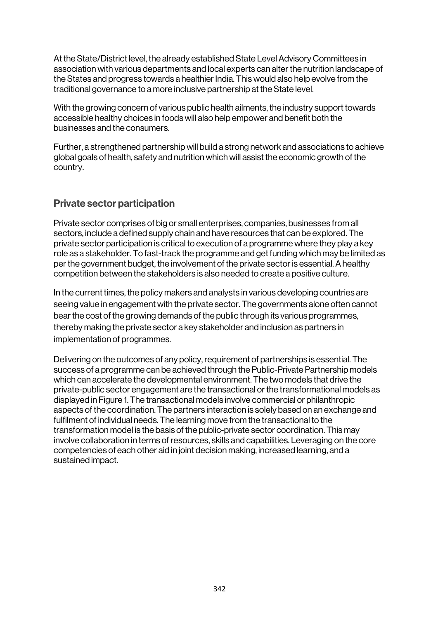At the State/District level, the already established State Level Advisory Committees in association with various departments and local experts can alter the nutrition landscape of the States and progress towards a healthier India. This would also help evolve from the traditional governance to a more inclusive partnership at the State level.

With the growing concern of various public health ailments, the industry support towards accessible healthy choices in foods will also help empower and benefit both the businesses and the consumers.

Further, a strengthened partnership will build a strong network and associations to achieve global goals of health, safety and nutrition which will assist the economic growth of the country.

# Private sector participation

Private sector comprises of big or small enterprises, companies, businesses from all sectors, include a defined supply chain and have resources that can be explored. The private sector participation is critical to execution of a programme where they play a key role as a stakeholder. To fast-track the programme and get funding which may be limited as per the government budget, the involvement of the private sector is essential. A healthy competition between the stakeholders is also needed to create a positive culture.

In the current times, the policy makers and analysts in various developing countries are seeing value in engagement with the private sector. The governments alone often cannot bear the cost of the growing demands of the public through its various programmes, thereby making the private sector a key stakeholder and inclusion as partners in implementation of programmes.

Delivering on the outcomes of any policy, requirement of partnerships is essential. The success of a programme can be achieved through the Public-Private Partnership models which can accelerate the developmental environment. The two models that drive the private-public sector engagement are the transactional or the transformational models as displayed in Figure 1. The transactional models involve commercial or philanthropic aspects of the coordination. The partners interaction is solely based on an exchange and fulfilment of individual needs. The learning move from the transactional to the transformation model is the basis of the public-private sector coordination. This may involve collaboration in terms of resources, skills and capabilities. Leveraging on the core competencies of each other aid in joint decision making, increased learning, and a sustained impact.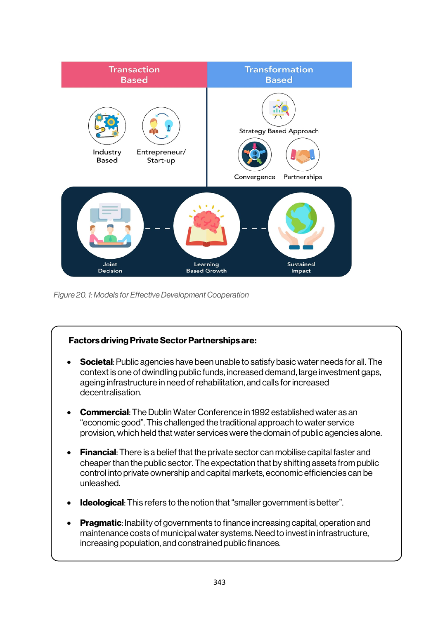

*Figure 20. 1: Models for Effective Development Cooperation*

# Factors driving Private Sector Partnerships are:

- **Societal:** Public agencies have been unable to satisfy basic water needs for all. The context is one of dwindling public funds, increased demand, large investment gaps, ageing infrastructure in need of rehabilitation, and calls for increased decentralisation.
- Commercial: The Dublin Water Conference in 1992 established water as an "economic good". This challenged the traditional approach to water service provision, which held that water services were the domain of public agencies alone.
- Financial: There is a belief that the private sector can mobilise capital faster and cheaper than the public sector. The expectation that by shifting assets from public control into private ownership and capital markets, economic efficiencies can be unleashed.
- Ideological: This refers to the notion that "smaller government is better".
- Pragmatic: Inability of governments to finance increasing capital, operation and maintenance costs of municipal water systems. Need to invest in infrastructure, increasing population, and constrained public finances.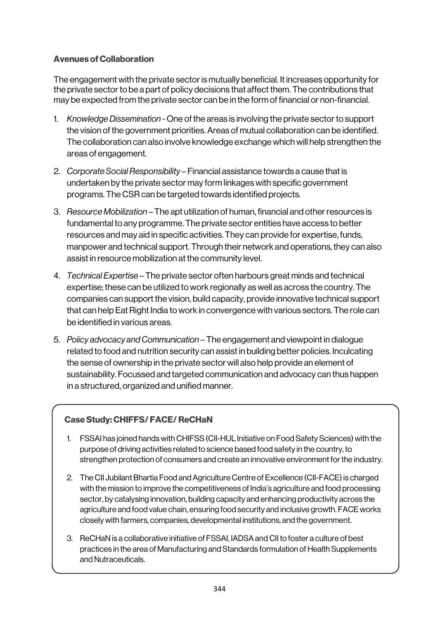### Avenues of Collaboration

The engagement with the private sector is mutually beneficial. It increases opportunity for the private sector to be a part of policy decisions that affect them. The contributions that may be expected from the private sector can be in the form of financial or non-financial.

- 1. *Knowledge Dissemination* One of the areas is involving the private sector to support the vision of the government priorities. Areas of mutual collaboration can be identified. The collaboration can also involve knowledge exchange which will help strengthen the areas of engagement.
- 2. *Corporate Social Responsibility* Financial assistance towards a cause that is undertaken by the private sector may form linkages with specific government programs. The CSR can be targeted towards identified projects.
- 3. *Resource Mobilization* The apt utilization of human, financial and other resources is fundamental to any programme. The private sector entities have access to better resources and may aid in specific activities. They can provide for expertise, funds, manpower and technical support. Through their network and operations, they can also assist in resource mobilization at the community level.
- 4. *Technical Expertise* The private sector often harbours great minds and technical expertise; these can be utilized to work regionally as well as across the country. The companies can support the vision, build capacity, provide innovative technical support that can help Eat Right India to work in convergence with various sectors. The role can be identified in various areas.
- 5. *Policy advocacy and Communication* The engagement and viewpoint in dialogue related to food and nutrition security can assist in building better policies. Inculcating the sense of ownership in the private sector will also help provide an element of sustainability. Focussed and targeted communication and advocacy can thus happen in a structured, organized and unified manner.

#### Case Study: CHIFFS/ FACE/ ReCHaN

- 1. FSSAI has joined hands with CHIFSS (CII-HUL Initiative on Food Safety Sciences) with the purpose of driving activities related to science based food safety in the country, to strengthen protection of consumers and create an innovative environment for the industry.
- 2. The CII Jubilant Bhartia Food and Agriculture Centre of Excellence (CII-FACE) is charged with the mission to improve the competitiveness of India's agriculture and food processing sector, by catalysing innovation, building capacity and enhancing productivity across the agriculture and food value chain, ensuring food security and inclusive growth. FACE works closely with farmers, companies, developmental institutions, and the government.
- 3. ReCHaN is a collaborative initiative of FSSAI, IADSA and CIIto foster a culture of best practices in the area of Manufacturing and Standards formulation of Health Supplements and Nutraceuticals.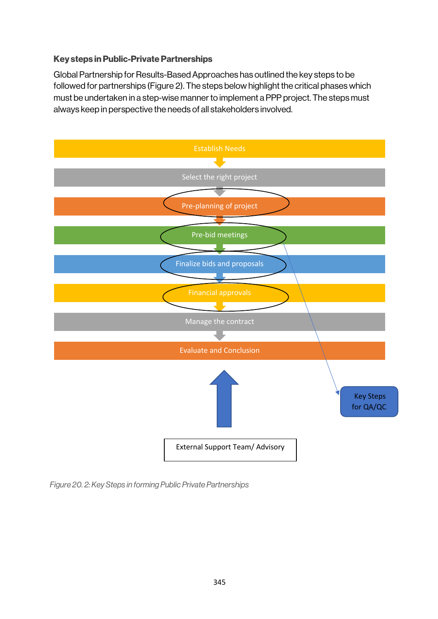#### Key steps in Public-Private Partnerships

Global Partnership for Results-Based Approaches has outlined the key steps to be followed for partnerships (Figure 2). The steps below highlight the critical phases which must be undertaken in a step-wise manner to implement a PPP project. The steps must always keep in perspective the needs of all stakeholders involved.



*Figure 20. 2: Key Steps in forming Public Private Partnerships*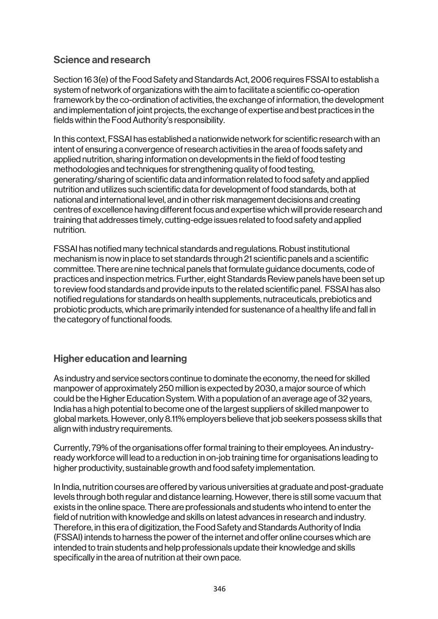# Science and research

Section 16 3(e) of the Food Safety and Standards Act, 2006 requires FSSAI to establish a system of network of organizations with the aim to facilitate a scientific co-operation framework by the co-ordination of activities, the exchange of information, the development and implementation of joint projects, the exchange of expertise and best practices in the fields within the Food Authority's responsibility.

In this context, FSSAI has established a nationwide network for scientific research with an intent of ensuring a convergence of research activities in the area of foods safety and applied nutrition, sharing information on developments in the field of food testing methodologies and techniques for strengthening quality of food testing, generating/sharing of scientific data and information related to food safety and applied nutrition and utilizes such scientific data for development of food standards, both at national and international level, and in other risk management decisions and creating centres of excellence having different focus and expertise which will provide research and training that addresses timely, cutting-edge issues related to food safety and applied nutrition.

FSSAI has notified many technical standards and regulations. Robust institutional mechanism is now in place to set standards through 21 scientific panels and a scientific committee. There are nine technical panels that formulate guidance documents, code of practices and inspection metrics. Further, eight Standards Review panels have been set up to review food standards and provide inputs to the related scientific panel. FSSAI has also notified regulations for standards on health supplements, nutraceuticals, prebiotics and probiotic products, which are primarily intended for sustenance of a healthy life and fall in the category of functional foods.

# Higher education and learning

As industry and service sectors continue to dominate the economy, the need for skilled manpower of approximately 250 million is expected by 2030, a major source of which could be the Higher Education System. With a population of an average age of 32 years, India has a high potential to become one of the largest suppliers of skilled manpower to global markets. However, only 8.11% employers believe that job seekers possess skills that align with industry requirements.

Currently, 79% of the organisations offer formal training to their employees. An industryready workforce will lead to a reduction in on-job training time for organisations leading to higher productivity, sustainable growth and food safety implementation.

In India, nutrition courses are offered by various universities at graduate and post-graduate levels through both regular and distance learning. However, there is still some vacuum that exists in the online space. There are professionals and students who intend to enter the field of nutrition with knowledge and skills on latest advances in research and industry. Therefore, in this era of digitization, the Food Safety and Standards Authority of India (FSSAI) intends to harness the power of the internet and offer online courses which are intended to train students and help professionals update their knowledge and skills specifically in the area of nutrition at their own pace.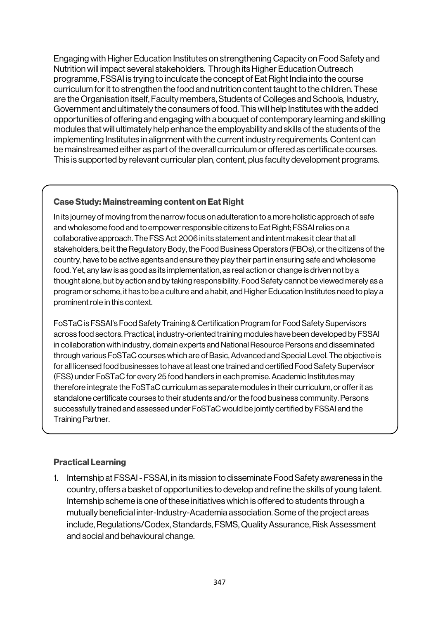Engaging with Higher Education Institutes on strengthening Capacity on Food Safety and Nutrition will impact several stakeholders. Through its Higher Education Outreach programme, FSSAI is trying to inculcate the concept of Eat Right India into the course curriculum for it to strengthen the food and nutrition content taught to the children. These are the Organisation itself, Faculty members, Students of Colleges and Schools, Industry, Government and ultimately the consumers of food. This will help Institutes with the added opportunities of offering and engaging with a bouquet of contemporary learning and skilling modules that will ultimately help enhance the employability and skills of the students of the implementing Institutes in alignment with the current industry requirements. Content can be mainstreamed either as part of the overall curriculum or offered as certificate courses. This is supported by relevant curricular plan, content, plus faculty development programs.

### Case Study: Mainstreaming content on Eat Right

In its journey of moving from the narrow focus on adulteration to a more holistic approach of safe and wholesome food and to empower responsible citizens to Eat Right; FSSAI relies on a collaborative approach. The FSS Act 2006 in its statement and intent makes it clear that all stakeholders, be it the Regulatory Body, the Food Business Operators (FBOs), or the citizens of the country, have to be active agents and ensure they play their part in ensuring safe and wholesome food. Yet, any law is as good as its implementation, as real action or change is driven not by a thought alone, but by action and by taking responsibility. Food Safety cannot be viewed merely as a program or scheme, it has to be a culture and a habit, and Higher Education Institutes need to play a prominent role in this context.

FoSTaC is FSSAI's Food Safety Training & Certification Program for Food Safety Supervisors across food sectors. Practical, industry-oriented training modules have been developed by FSSAI in collaboration with industry, domain experts and National Resource Persons and disseminated through various FoSTaC courses which are of Basic, Advanced and Special Level. The objective is for all licensed food businesses to have at least one trained and certified Food Safety Supervisor (FSS) under FoSTaC for every 25 food handlers in each premise. Academic Institutes may therefore integrate the FoSTaC curriculum as separate modules in their curriculum, or offer it as standalone certificate courses to their students and/or the food business community. Persons successfully trained and assessed under FoSTaC would be jointly certified by FSSAI and the Training Partner.

#### Practical Learning

1. Internship at FSSAI - FSSAI, in its mission to disseminate Food Safety awareness in the country, offers a basket of opportunities to develop and refine the skills of young talent. Internship scheme is one of these initiatives which is offered to students through a mutually beneficial inter-Industry-Academia association. Some of the project areas include, Regulations/Codex, Standards, FSMS, Quality Assurance, Risk Assessment and social and behavioural change.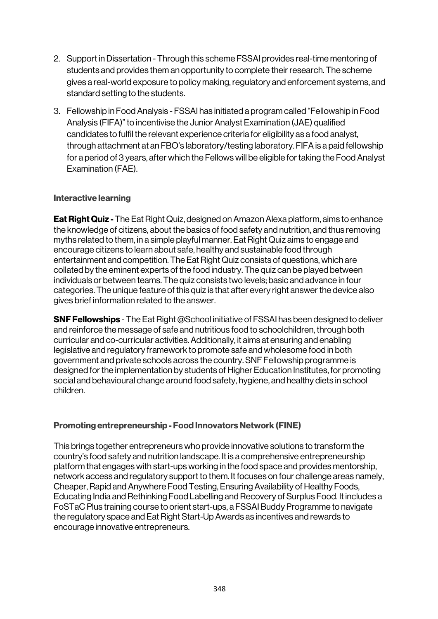- 2. Support in Dissertation Through this scheme FSSAI provides real-time mentoring of students and provides them an opportunity to complete their research. The scheme gives a real-world exposure to policy making, regulatory and enforcement systems, and standard setting to the students.
- 3. Fellowship in Food Analysis FSSAI has initiated a program called "Fellowship in Food Analysis (FIFA)" to incentivise the Junior Analyst Examination (JAE) qualified candidates to fulfil the relevant experience criteria for eligibility as a food analyst, through attachment at an FBO's laboratory/testing laboratory. FIFA is a paid fellowship for a period of 3 years, after which the Fellows will be eligible for taking the Food Analyst Examination (FAE).

#### Interactive learning

**Eat Right Quiz -** The Eat Right Quiz, designed on Amazon Alexa platform, aims to enhance the knowledge of citizens, about the basics of food safety and nutrition, and thus removing myths related to them, in a simple playful manner. Eat Right Quiz aims to engage and encourage citizens to learn about safe, healthy and sustainable food through entertainment and competition. The Eat Right Quiz consists of questions, which are collated by the eminent experts of the food industry. The quiz can be played between individuals or between teams. The quiz consists two levels; basic and advance in four categories. The unique feature of this quiz is that after every right answer the device also gives brief information related to the answer.

SNF Fellowships - The Eat Right @School initiative of FSSAI has been designed to deliver and reinforce the message of safe and nutritious food to schoolchildren, through both curricular and co-curricular activities. Additionally, it aims at ensuring and enabling legislative and regulatory framework to promote safe and wholesome food in both government and private schools across the country. SNF Fellowship programme is designed for the implementation by students of Higher Education Institutes, for promoting social and behavioural change around food safety, hygiene, and healthy diets in school children.

#### Promoting entrepreneurship - Food Innovators Network (FINE)

This brings together entrepreneurs who provide innovative solutions to transform the country's food safety and nutrition landscape. It is a comprehensive entrepreneurship platform that engages with start-ups working in the food space and provides mentorship, network access and regulatory support to them. It focuses on four challenge areas namely, Cheaper, Rapid and Anywhere Food Testing, Ensuring Availability of Healthy Foods, Educating India and Rethinking Food Labelling and Recovery of Surplus Food. It includes a FoSTaC Plus training course to orient start-ups, a FSSAI Buddy Programme to navigate the regulatory space and Eat Right Start-Up Awards as incentives and rewards to encourage innovative entrepreneurs.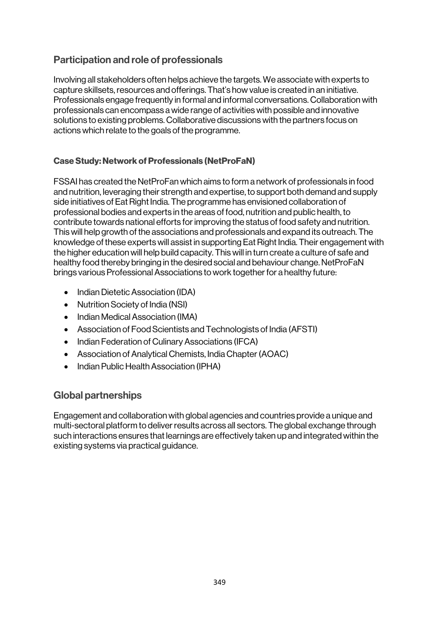# Participation and role of professionals

Involving all stakeholders often helps achieve the targets. We associate with experts to capture skillsets, resources and offerings. That's how value is created in an initiative. Professionals engage frequently in formal and informal conversations. Collaboration with professionals can encompass a wide range of activities with possible and innovative solutions to existing problems. Collaborative discussions with the partners focus on actions which relate to the goals of the programme.

### Case Study: Network of Professionals (NetProFaN)

FSSAI has created the NetProFan which aims to form a network of professionals in food and nutrition, leveraging their strength and expertise, to support both demand and supply side initiatives of Eat Right India. The programme has envisioned collaboration of professional bodies and experts in the areas of food, nutrition and public health, to contribute towards national efforts for improving the status of food safety and nutrition. This will help growth of the associations and professionals and expand its outreach. The knowledge of these experts will assist in supporting Eat Right India. Their engagement with the higher education will help build capacity. This will in turn create a culture of safe and healthy food thereby bringing in the desired social and behaviour change. NetProFaN brings various Professional Associations to work together for a healthy future:

- Indian Dietetic Association (IDA)
- Nutrition Society of India (NSI)
- Indian Medical Association (IMA)
- Association of Food Scientists and Technologists of India (AFSTI)
- Indian Federation of Culinary Associations (IFCA)
- Association of Analytical Chemists, India Chapter (AOAC)
- Indian Public Health Association (IPHA)

# Global partnerships

Engagement and collaboration with global agencies and countries provide a unique and multi-sectoral platform to deliver results across all sectors. The global exchange through such interactions ensures that learnings are effectively taken up and integrated within the existing systems via practical guidance.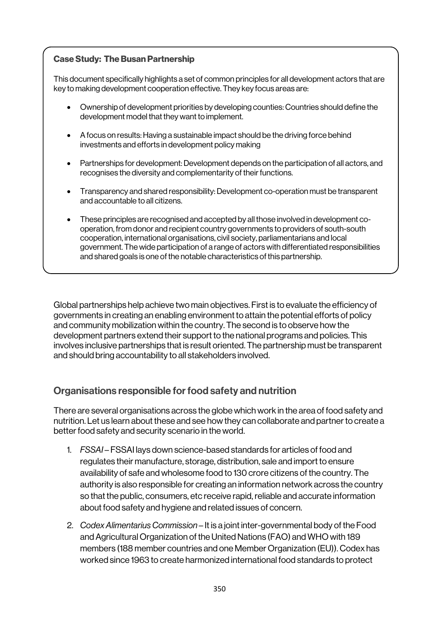#### Case Study: The Busan Partnership

This document specifically highlights a set of common principles for all development actors that are key to making development cooperation effective. They key focus areas are:

- Ownership of development priorities by developing counties: Countries should define the development model that they want to implement.
- A focus on results: Having a sustainable impact should be the driving force behind investments and efforts in development policy making
- Partnerships for development: Development depends on the participation of all actors, and recognises the diversity and complementarity of their functions.
- Transparency and shared responsibility: Development co-operation must be transparent and accountable to all citizens.
- These principles are recognised and accepted by all those involved in development cooperation, from donor and recipient country governments to providers of south-south cooperation, international organisations, civil society, parliamentarians and local government. The wide participation of a range of actors with differentiated responsibilities and shared goals is one of the notable characteristics of this partnership.

Global partnerships help achieve two main objectives. First is to evaluate the efficiency of governments in creating an enabling environment to attain the potential efforts of policy and community mobilization within the country. The second is to observe how the development partners extend their support to the national programs and policies. This involves inclusive partnerships that is result oriented. The partnership must be transparent and should bring accountability to all stakeholders involved.

# Organisations responsible for food safety and nutrition

There are several organisations across the globe which work in the area of food safety and nutrition. Let us learn about these and see how they can collaborate and partner to create a better food safety and security scenario in the world.

- 1. *FSSAI* FSSAI lays down science-based standards for articles of food and regulates their manufacture, storage, distribution, sale and import to ensure availability of safe and wholesome food to 130 crore citizens of the country. The authority is also responsible for creating an information network across the country so that the public, consumers, etc receive rapid, reliable and accurate information about food safety and hygiene and related issues of concern.
- 2. *Codex Alimentarius Commission* It is a joint inter-governmental body of the Food and Agricultural Organization of the United Nations (FAO) and WHO with 189 members (188 member countries and one Member Organization (EU)). Codex has worked since 1963 to create harmonized international food standards to protect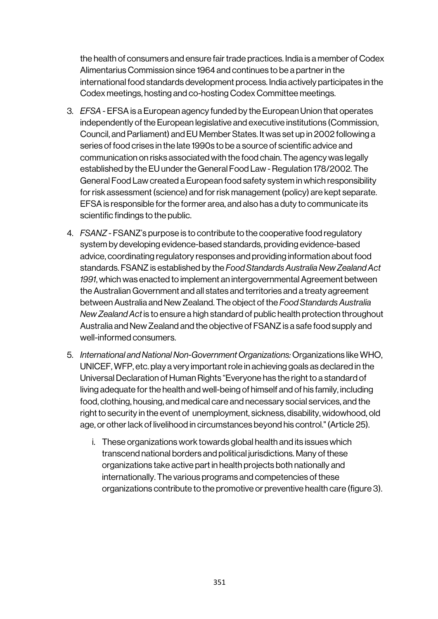the health of consumers and ensure fair trade practices. India is a member of Codex Alimentarius Commission since 1964 and continues to be a partner in the international food standards development process. India actively participates in the Codex meetings, hosting and co-hosting Codex Committee meetings.

- 3. *EFSA* EFSA is a European agency funded by the European Union that operates independently of the European legislative and executive institutions (Commission, Council, and Parliament) and EU Member States. It was set up in 2002 following a series of food crises in the late 1990s to be a source of scientific advice and communication on risks associated with the food chain. The agency was legally established by the EU under the General Food Law - Regulation 178/2002. The General Food Law created a European food safety system in which responsibility for risk assessment (science) and for risk management (policy) are kept separate. EFSA is responsible for the former area, and also has a duty to communicate its scientific findings to the public.
- 4. *FSANZ* FSANZ's purpose is to contribute to the cooperative food regulatory system by developing evidence-based standards, providing evidence-based advice, coordinating regulatory responses and providing information about food standards. FSANZ is established by the *Food Standards Australia New Zealand Act 1991*, which was enacted to implement an intergovernmental Agreement between the Australian Government and all states and territories and a treaty agreement between Australia and New Zealand. The object of the *Food Standards Australia New Zealand Act* is to ensure a high standard of public health protection throughout Australia and New Zealand and the objective of FSANZ is a safe food supply and well-informed consumers.
- 5. *International and National Non-Government Organizations:* Organizations like WHO, UNICEF, WFP, etc. play a very important role in achieving goals as declared in the Universal Declaration of Human Rights "Everyone has the right to a standard of living adequate for the health and well-being of himself and of his family, including food, clothing, housing, and medical care and necessary social services, and the right to security in the event of unemployment, sickness, disability, widowhood, old age, or other lack of livelihood in circumstances beyond his control." (Article 25).
	- i. These organizations work towards global health and its issues which transcend national borders and political jurisdictions. Many of these organizations take active part in health projects both nationally and internationally. The various programs and competencies of these organizations contribute to the promotive or preventive health care (figure 3).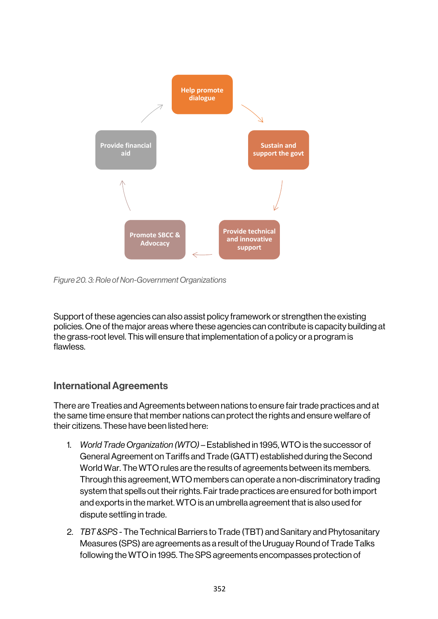

*Figure 20. 3: Role of Non-Government Organizations*

Support of these agencies can also assist policy framework or strengthen the existing policies. One of the major areas where these agencies can contribute is capacity building at the grass-root level. This will ensure that implementation of a policy or a program is flawless.

# International Agreements

There are Treaties and Agreements between nations to ensure fair trade practices and at the same time ensure that member nations can protect the rights and ensure welfare of their citizens. These have been listed here:

- 1. *World Trade Organization (WTO)* Established in 1995, WTO is the successor of General Agreement on Tariffs and Trade (GATT) established during the Second World War. The WTO rules are the results of agreements between its members. Through this agreement, WTO members can operate a non-discriminatory trading system that spells out their rights. Fair trade practices are ensured for both import and exports in the market. WTO is an umbrella agreement that is also used for dispute settling in trade.
- 2. *TBT &SPS* The Technical Barriers to Trade (TBT) and Sanitary and Phytosanitary Measures (SPS) are agreements as a result of the Uruguay Round of Trade Talks following the WTO in 1995. The SPS agreements encompasses protection of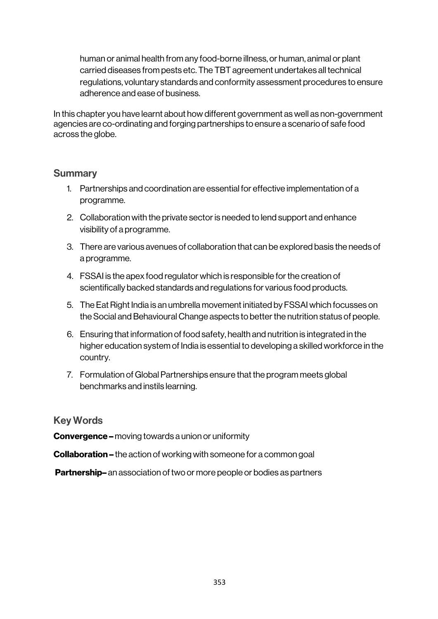human or animal health from any food-borne illness, or human, animal or plant carried diseases from pests etc. The TBT agreement undertakes all technical regulations, voluntary standards and conformity assessment procedures to ensure adherence and ease of business.

In this chapter you have learnt about how different government as well as non-government agencies are co-ordinating and forging partnerships to ensure a scenario of safe food across the globe.

#### **Summary**

- 1. Partnerships and coordination are essential for effective implementation of a programme.
- 2. Collaboration with the private sector is needed to lend support and enhance visibility of a programme.
- 3. There are various avenues of collaboration that can be explored basis the needs of a programme.
- 4. FSSAI is the apex food regulator which is responsible for the creation of scientifically backed standards and regulations for various food products.
- 5. The Eat Right India is an umbrella movement initiated by FSSAI which focusses on the Social and Behavioural Change aspects to better the nutrition status of people.
- 6. Ensuring that information of food safety, health and nutrition is integrated in the higher education system of India is essential to developing a skilled workforce in the country.
- 7. Formulation of Global Partnerships ensure that the program meets global benchmarks and instils learning.

# Key Words

**Convergence –** moving towards a union or uniformity

Collaboration – the action of working with someone for a common goal

**Partnership–** an association of two or more people or bodies as partners